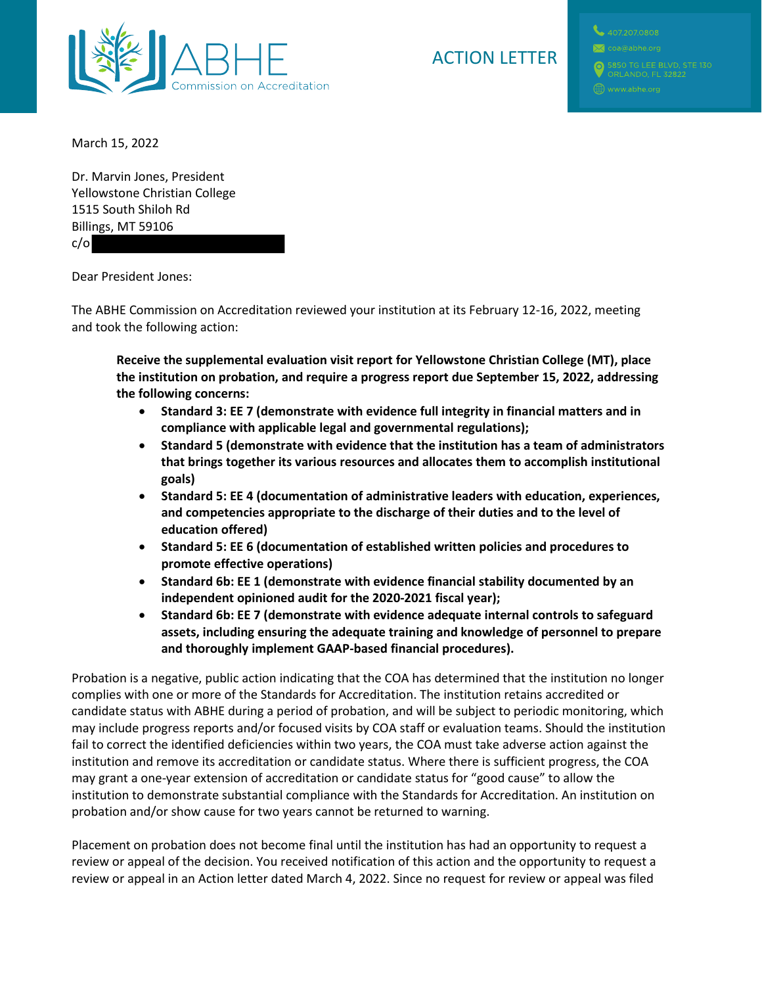

# ACTION LETTER

March 15, 2022

Dr. Marvin Jones, President Yellowstone Christian College 1515 South Shiloh Rd Billings, MT 59106 c/o

Dear President Jones:

The ABHE Commission on Accreditation reviewed your institution at its February 12-16, 2022, meeting and took the following action:

**Receive the supplemental evaluation visit report for Yellowstone Christian College (MT), place the institution on probation, and require a progress report due September 15, 2022, addressing the following concerns:**

- **Standard 3: EE 7 (demonstrate with evidence full integrity in financial matters and in compliance with applicable legal and governmental regulations);**
- **Standard 5 (demonstrate with evidence that the institution has a team of administrators that brings together its various resources and allocates them to accomplish institutional goals)**
- **Standard 5: EE 4 (documentation of administrative leaders with education, experiences, and competencies appropriate to the discharge of their duties and to the level of education offered)**
- **Standard 5: EE 6 (documentation of established written policies and procedures to promote effective operations)**
- **Standard 6b: EE 1 (demonstrate with evidence financial stability documented by an independent opinioned audit for the 2020-2021 fiscal year);**
- **Standard 6b: EE 7 (demonstrate with evidence adequate internal controls to safeguard assets, including ensuring the adequate training and knowledge of personnel to prepare and thoroughly implement GAAP-based financial procedures).**

Probation is a negative, public action indicating that the COA has determined that the institution no longer complies with one or more of the Standards for Accreditation. The institution retains accredited or candidate status with ABHE during a period of probation, and will be subject to periodic monitoring, which may include progress reports and/or focused visits by COA staff or evaluation teams. Should the institution fail to correct the identified deficiencies within two years, the COA must take adverse action against the institution and remove its accreditation or candidate status. Where there is sufficient progress, the COA may grant a one-year extension of accreditation or candidate status for "good cause" to allow the institution to demonstrate substantial compliance with the Standards for Accreditation. An institution on probation and/or show cause for two years cannot be returned to warning.

Placement on probation does not become final until the institution has had an opportunity to request a review or appeal of the decision. You received notification of this action and the opportunity to request a review or appeal in an Action letter dated March 4, 2022. Since no request for review or appeal was filed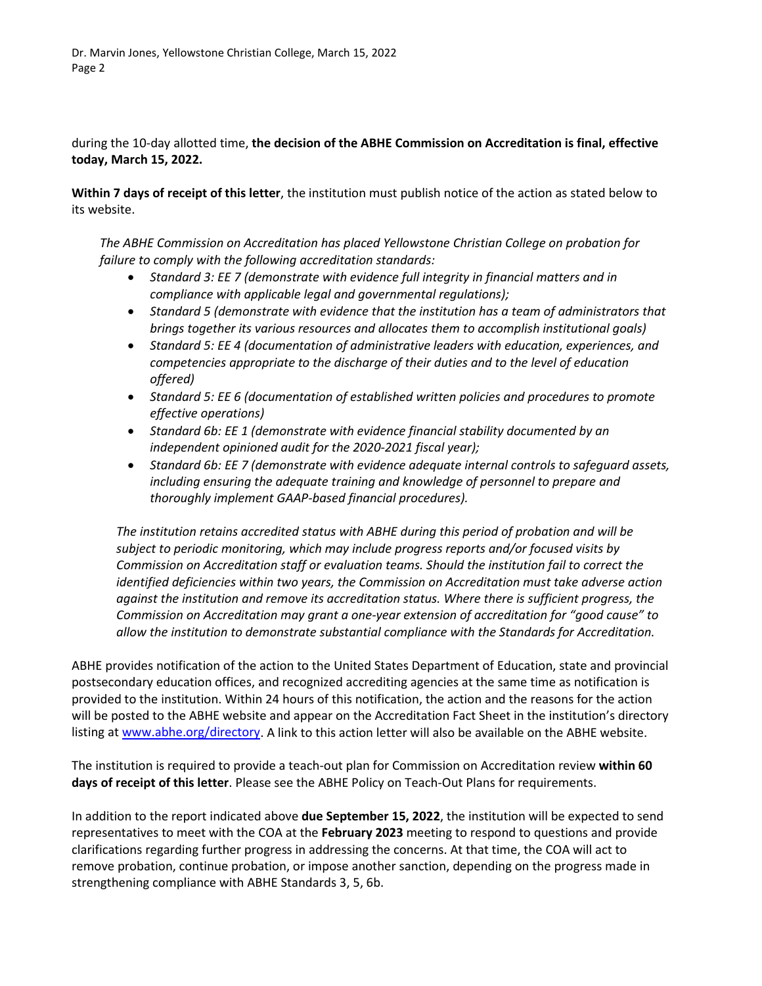during the 10-day allotted time, **the decision of the ABHE Commission on Accreditation is final, effective today, March 15, 2022.**

**Within 7 days of receipt of this letter**, the institution must publish notice of the action as stated below to its website.

*The ABHE Commission on Accreditation has placed Yellowstone Christian College on probation for failure to comply with the following accreditation standards:*

- *Standard 3: EE 7 (demonstrate with evidence full integrity in financial matters and in compliance with applicable legal and governmental regulations);*
- *Standard 5 (demonstrate with evidence that the institution has a team of administrators that brings together its various resources and allocates them to accomplish institutional goals)*
- *Standard 5: EE 4 (documentation of administrative leaders with education, experiences, and competencies appropriate to the discharge of their duties and to the level of education offered)*
- *Standard 5: EE 6 (documentation of established written policies and procedures to promote effective operations)*
- *Standard 6b: EE 1 (demonstrate with evidence financial stability documented by an independent opinioned audit for the 2020-2021 fiscal year);*
- *Standard 6b: EE 7 (demonstrate with evidence adequate internal controls to safeguard assets, including ensuring the adequate training and knowledge of personnel to prepare and thoroughly implement GAAP-based financial procedures).*

*The institution retains accredited status with ABHE during this period of probation and will be subject to periodic monitoring, which may include progress reports and/or focused visits by Commission on Accreditation staff or evaluation teams. Should the institution fail to correct the identified deficiencies within two years, the Commission on Accreditation must take adverse action against the institution and remove its accreditation status. Where there is sufficient progress, the Commission on Accreditation may grant a one-year extension of accreditation for "good cause" to allow the institution to demonstrate substantial compliance with the Standards for Accreditation.*

ABHE provides notification of the action to the United States Department of Education, state and provincial postsecondary education offices, and recognized accrediting agencies at the same time as notification is provided to the institution. Within 24 hours of this notification, the action and the reasons for the action will be posted to the ABHE website and appear on the Accreditation Fact Sheet in the institution's directory listing at [www.abhe.org/directory.](http://www.abhe.org/directory) A link to this action letter will also be available on the ABHE website.

The institution is required to provide a teach-out plan for Commission on Accreditation review **within 60 days of receipt of this letter**. Please see the ABHE Policy on Teach-Out Plans for requirements.

In addition to the report indicated above **due September 15, 2022**, the institution will be expected to send representatives to meet with the COA at the **February 2023** meeting to respond to questions and provide clarifications regarding further progress in addressing the concerns. At that time, the COA will act to remove probation, continue probation, or impose another sanction, depending on the progress made in strengthening compliance with ABHE Standards 3, 5, 6b.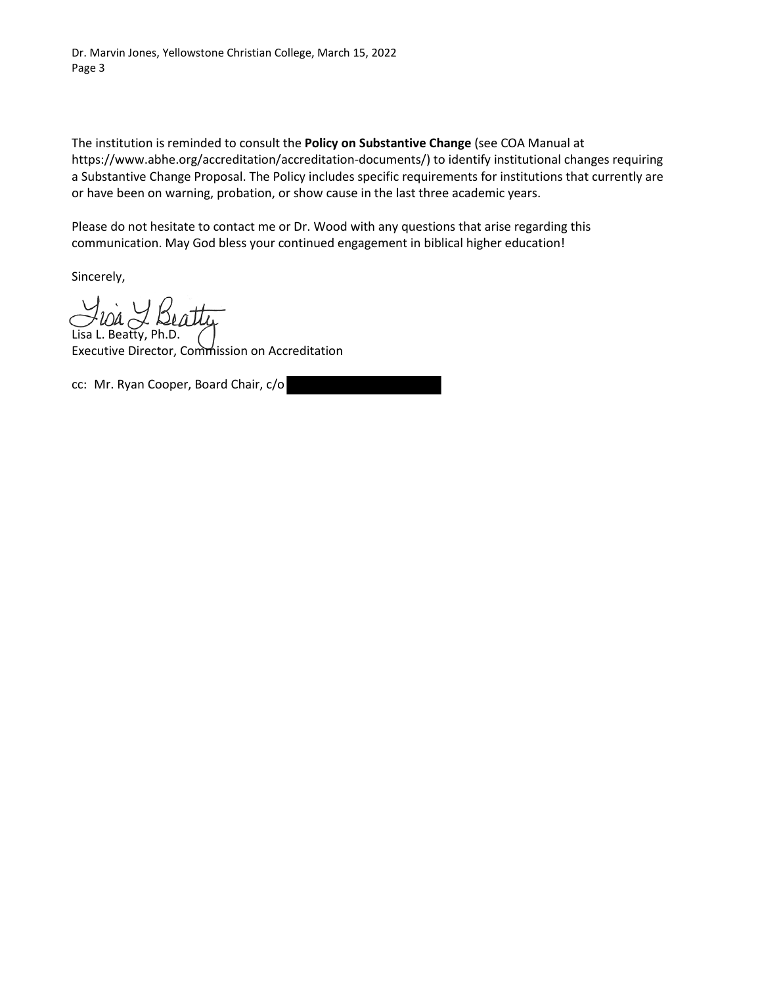The institution is reminded to consult the **Policy on Substantive Change** (see COA Manual at https://www.abhe.org/accreditation/accreditation-documents/) to identify institutional changes requiring a Substantive Change Proposal. The Policy includes specific requirements for institutions that currently are or have been on warning, probation, or show cause in the last three academic years.

Please do not hesitate to contact me or Dr. Wood with any questions that arise regarding this communication. May God bless your continued engagement in biblical higher education!

Sincerely,

 $\overline{a}$ Lisa L. Beatty, Ph.D.

Executive Director, Commission on Accreditation

cc: Mr. Ryan Cooper, Board Chair, c/o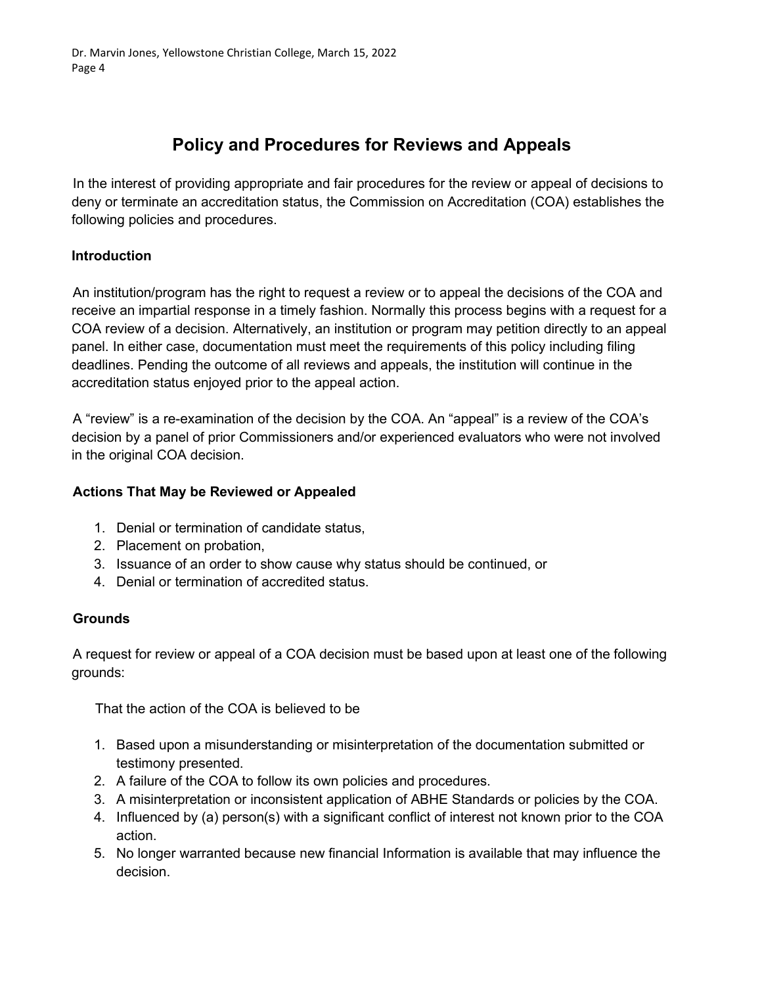# **Policy and Procedures for Reviews and Appeals**

In the interest of providing appropriate and fair procedures for the review or appeal of decisions to deny or terminate an accreditation status, the Commission on Accreditation (COA) establishes the following policies and procedures.

## **Introduction**

An institution/program has the right to request a review or to appeal the decisions of the COA and receive an impartial response in a timely fashion. Normally this process begins with a request for a COA review of a decision. Alternatively, an institution or program may petition directly to an appeal panel. In either case, documentation must meet the requirements of this policy including filing deadlines. Pending the outcome of all reviews and appeals, the institution will continue in the accreditation status enjoyed prior to the appeal action.

A "review" is a re-examination of the decision by the COA. An "appeal" is a review of the COA's decision by a panel of prior Commissioners and/or experienced evaluators who were not involved in the original COA decision.

## **Actions That May be Reviewed or Appealed**

- 1. Denial or termination of candidate status,
- 2. Placement on probation,
- 3. Issuance of an order to show cause why status should be continued, or
- 4. Denial or termination of accredited status.

## **Grounds**

A request for review or appeal of a COA decision must be based upon at least one of the following grounds:

That the action of the COA is believed to be

- 1. Based upon a misunderstanding or misinterpretation of the documentation submitted or testimony presented.
- 2. A failure of the COA to follow its own policies and procedures.
- 3. A misinterpretation or inconsistent application of ABHE Standards or policies by the COA.
- 4. Influenced by (a) person(s) with a significant conflict of interest not known prior to the COA action.
- 5. No longer warranted because new financial Information is available that may influence the decision.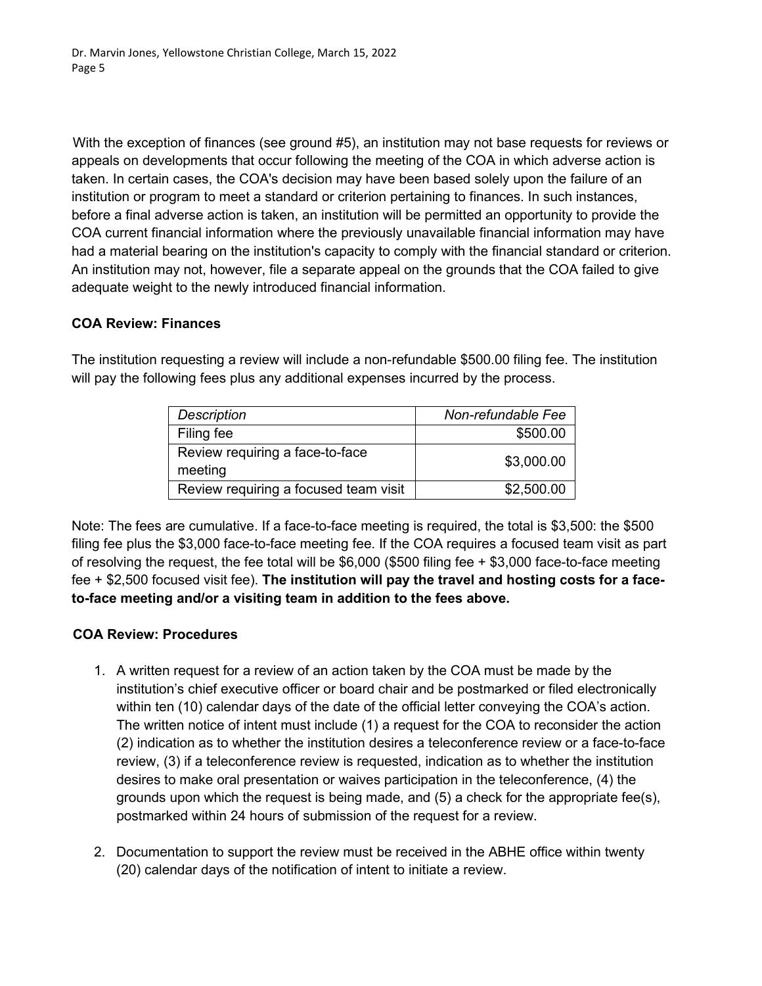With the exception of finances (see ground #5), an institution may not base requests for reviews or appeals on developments that occur following the meeting of the COA in which adverse action is taken. In certain cases, the COA's decision may have been based solely upon the failure of an institution or program to meet a standard or criterion pertaining to finances. In such instances, before a final adverse action is taken, an institution will be permitted an opportunity to provide the COA current financial information where the previously unavailable financial information may have had a material bearing on the institution's capacity to comply with the financial standard or criterion. An institution may not, however, file a separate appeal on the grounds that the COA failed to give adequate weight to the newly introduced financial information.

### **COA Review: Finances**

The institution requesting a review will include a non-refundable \$500.00 filing fee. The institution will pay the following fees plus any additional expenses incurred by the process.

| <b>Description</b>                         | Non-refundable Fee |
|--------------------------------------------|--------------------|
| Filing fee                                 | \$500.00           |
| Review requiring a face-to-face<br>meeting | \$3,000.00         |
| Review requiring a focused team visit      | \$2,500.00         |

Note: The fees are cumulative. If a face-to-face meeting is required, the total is \$3,500: the \$500 filing fee plus the \$3,000 face-to-face meeting fee. If the COA requires a focused team visit as part of resolving the request, the fee total will be \$6,000 (\$500 filing fee + \$3,000 face-to-face meeting fee + \$2,500 focused visit fee). **The institution will pay the travel and hosting costs for a faceto-face meeting and/or a visiting team in addition to the fees above.**

#### **COA Review: Procedures**

- 1. A written request for a review of an action taken by the COA must be made by the institution's chief executive officer or board chair and be postmarked or filed electronically within ten (10) calendar days of the date of the official letter conveying the COA's action. The written notice of intent must include (1) a request for the COA to reconsider the action (2) indication as to whether the institution desires a teleconference review or a face-to-face review, (3) if a teleconference review is requested, indication as to whether the institution desires to make oral presentation or waives participation in the teleconference, (4) the grounds upon which the request is being made, and  $(5)$  a check for the appropriate fee(s), postmarked within 24 hours of submission of the request for a review.
- 2. Documentation to support the review must be received in the ABHE office within twenty (20) calendar days of the notification of intent to initiate a review.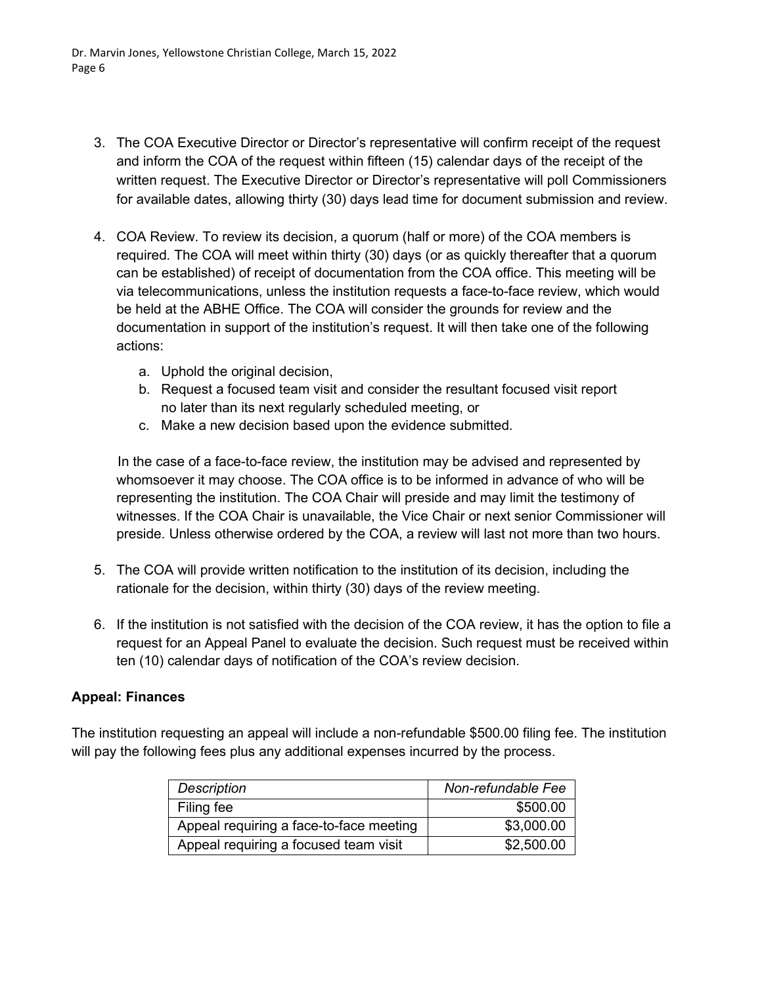- 3. The COA Executive Director or Director's representative will confirm receipt of the request and inform the COA of the request within fifteen (15) calendar days of the receipt of the written request. The Executive Director or Director's representative will poll Commissioners for available dates, allowing thirty (30) days lead time for document submission and review.
- 4. COA Review. To review its decision, a quorum (half or more) of the COA members is required*.* The COA will meet within thirty (30) days (or as quickly thereafter that a quorum can be established) of receipt of documentation from the COA office. This meeting will be via telecommunications, unless the institution requests a face-to-face review, which would be held at the ABHE Office. The COA will consider the grounds for review and the documentation in support of the institution's request. It will then take one of the following actions:
	- a. Uphold the original decision,
	- b. Request a focused team visit and consider the resultant focused visit report no later than its next regularly scheduled meeting, or
	- c. Make a new decision based upon the evidence submitted.

In the case of a face-to-face review, the institution may be advised and represented by whomsoever it may choose. The COA office is to be informed in advance of who will be representing the institution. The COA Chair will preside and may limit the testimony of witnesses. If the COA Chair is unavailable, the Vice Chair or next senior Commissioner will preside. Unless otherwise ordered by the COA, a review will last not more than two hours.

- 5. The COA will provide written notification to the institution of its decision, including the rationale for the decision, within thirty (30) days of the review meeting.
- 6. If the institution is not satisfied with the decision of the COA review, it has the option to file a request for an Appeal Panel to evaluate the decision. Such request must be received within ten (10) calendar days of notification of the COA's review decision.

#### **Appeal: Finances**

The institution requesting an appeal will include a non-refundable \$500.00 filing fee. The institution will pay the following fees plus any additional expenses incurred by the process.

| <b>Description</b>                      | Non-refundable Fee |
|-----------------------------------------|--------------------|
| Filing fee                              | \$500.00           |
| Appeal requiring a face-to-face meeting | \$3,000.00         |
| Appeal requiring a focused team visit   | \$2,500.00         |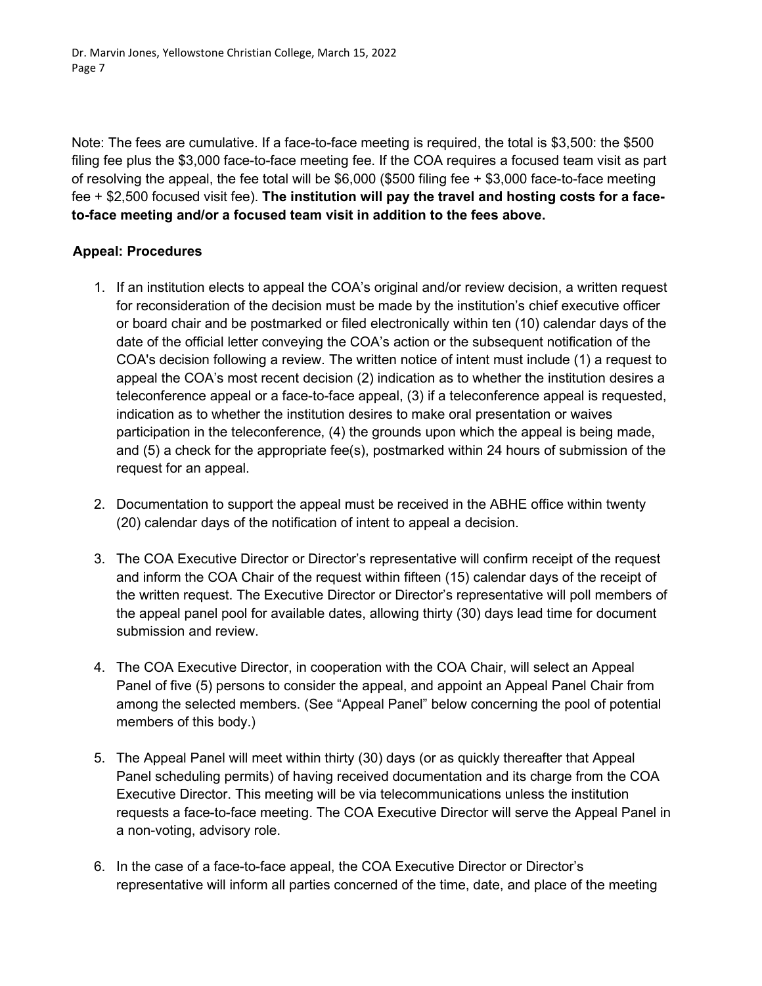Note: The fees are cumulative. If a face-to-face meeting is required, the total is \$3,500: the \$500 filing fee plus the \$3,000 face-to-face meeting fee. If the COA requires a focused team visit as part of resolving the appeal, the fee total will be \$6,000 (\$500 filing fee + \$3,000 face-to-face meeting fee + \$2,500 focused visit fee). **The institution will pay the travel and hosting costs for a faceto-face meeting and/or a focused team visit in addition to the fees above.**

### **Appeal: Procedures**

- 1. If an institution elects to appeal the COA's original and/or review decision, a written request for reconsideration of the decision must be made by the institution's chief executive officer or board chair and be postmarked or filed electronically within ten (10) calendar days of the date of the official letter conveying the COA's action or the subsequent notification of the COA's decision following a review. The written notice of intent must include (1) a request to appeal the COA's most recent decision (2) indication as to whether the institution desires a teleconference appeal or a face-to-face appeal, (3) if a teleconference appeal is requested, indication as to whether the institution desires to make oral presentation or waives participation in the teleconference, (4) the grounds upon which the appeal is being made, and (5) a check for the appropriate fee(s), postmarked within 24 hours of submission of the request for an appeal.
- 2. Documentation to support the appeal must be received in the ABHE office within twenty (20) calendar days of the notification of intent to appeal a decision.
- 3. The COA Executive Director or Director's representative will confirm receipt of the request and inform the COA Chair of the request within fifteen (15) calendar days of the receipt of the written request. The Executive Director or Director's representative will poll members of the appeal panel pool for available dates, allowing thirty (30) days lead time for document submission and review.
- 4. The COA Executive Director, in cooperation with the COA Chair, will select an Appeal Panel of five (5) persons to consider the appeal, and appoint an Appeal Panel Chair from among the selected members. (See "Appeal Panel" below concerning the pool of potential members of this body.)
- 5. The Appeal Panel will meet within thirty (30) days (or as quickly thereafter that Appeal Panel scheduling permits) of having received documentation and its charge from the COA Executive Director. This meeting will be via telecommunications unless the institution requests a face-to-face meeting. The COA Executive Director will serve the Appeal Panel in a non-voting, advisory role.
- 6. In the case of a face-to-face appeal, the COA Executive Director or Director's representative will inform all parties concerned of the time, date, and place of the meeting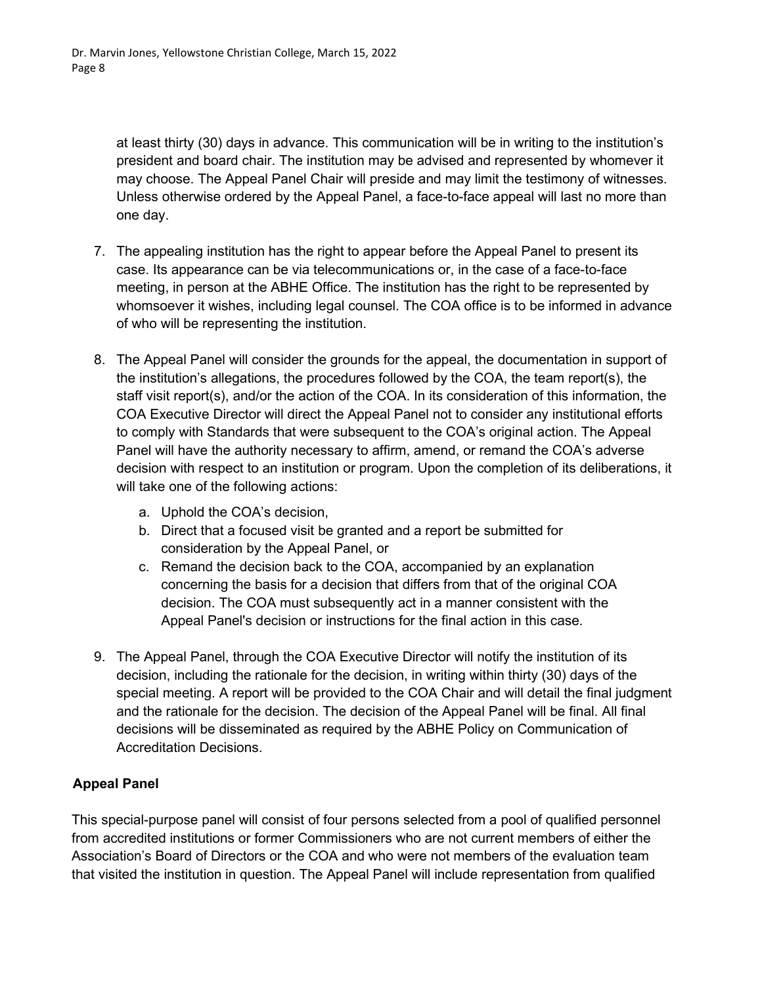at least thirty (30) days in advance. This communication will be in writing to the institution's president and board chair. The institution may be advised and represented by whomever it may choose. The Appeal Panel Chair will preside and may limit the testimony of witnesses. Unless otherwise ordered by the Appeal Panel, a face-to-face appeal will last no more than one day.

- 7. The appealing institution has the right to appear before the Appeal Panel to present its case. Its appearance can be via telecommunications or, in the case of a face-to-face meeting, in person at the ABHE Office. The institution has the right to be represented by whomsoever it wishes, including legal counsel. The COA office is to be informed in advance of who will be representing the institution.
- 8. The Appeal Panel will consider the grounds for the appeal, the documentation in support of the institution's allegations, the procedures followed by the COA, the team report(s), the staff visit report(s), and/or the action of the COA. In its consideration of this information, the COA Executive Director will direct the Appeal Panel not to consider any institutional efforts to comply with Standards that were subsequent to the COA's original action. The Appeal Panel will have the authority necessary to affirm, amend, or remand the COA's adverse decision with respect to an institution or program. Upon the completion of its deliberations, it will take one of the following actions:
	- a. Uphold the COA's decision,
	- b. Direct that a focused visit be granted and a report be submitted for consideration by the Appeal Panel, or
	- c. Remand the decision back to the COA, accompanied by an explanation concerning the basis for a decision that differs from that of the original COA decision. The COA must subsequently act in a manner consistent with the Appeal Panel's decision or instructions for the final action in this case.
- 9. The Appeal Panel, through the COA Executive Director will notify the institution of its decision, including the rationale for the decision, in writing within thirty (30) days of the special meeting. A report will be provided to the COA Chair and will detail the final judgment and the rationale for the decision. The decision of the Appeal Panel will be final. All final decisions will be disseminated as required by the ABHE Policy on Communication of Accreditation Decisions.

# **Appeal Panel**

This special-purpose panel will consist of four persons selected from a pool of qualified personnel from accredited institutions or former Commissioners who are not current members of either the Association's Board of Directors or the COA and who were not members of the evaluation team that visited the institution in question. The Appeal Panel will include representation from qualified